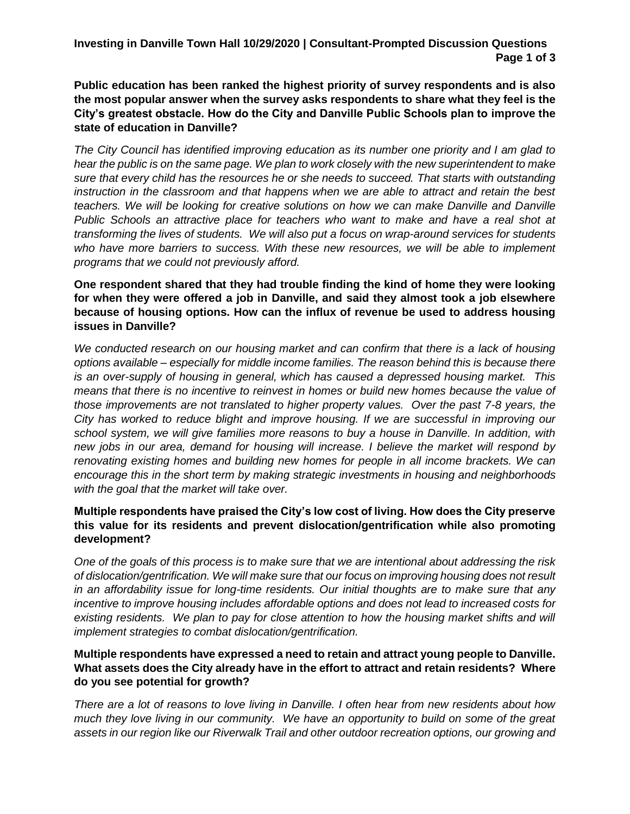**Investing in Danville Town Hall 10/29/2020 | Consultant-Prompted Discussion Questions Page 1 of 3**

**Public education has been ranked the highest priority of survey respondents and is also the most popular answer when the survey asks respondents to share what they feel is the City's greatest obstacle. How do the City and Danville Public Schools plan to improve the state of education in Danville?** 

*The City Council has identified improving education as its number one priority and I am glad to hear the public is on the same page. We plan to work closely with the new superintendent to make sure that every child has the resources he or she needs to succeed. That starts with outstanding instruction in the classroom and that happens when we are able to attract and retain the best teachers. We will be looking for creative solutions on how we can make Danville and Danville Public Schools an attractive place for teachers who want to make and have a real shot at transforming the lives of students. We will also put a focus on wrap-around services for students who have more barriers to success. With these new resources, we will be able to implement programs that we could not previously afford.* 

**One respondent shared that they had trouble finding the kind of home they were looking for when they were offered a job in Danville, and said they almost took a job elsewhere because of housing options. How can the influx of revenue be used to address housing issues in Danville?** 

*We conducted research on our housing market and can confirm that there is a lack of housing options available – especially for middle income families. The reason behind this is because there is an over-supply of housing in general, which has caused a depressed housing market. This means that there is no incentive to reinvest in homes or build new homes because the value of those improvements are not translated to higher property values. Over the past 7-8 years, the City has worked to reduce blight and improve housing. If we are successful in improving our school system, we will give families more reasons to buy a house in Danville. In addition, with new jobs in our area, demand for housing will increase. I believe the market will respond by renovating existing homes and building new homes for people in all income brackets. We can encourage this in the short term by making strategic investments in housing and neighborhoods with the goal that the market will take over.*

## **Multiple respondents have praised the City's low cost of living. How does the City preserve this value for its residents and prevent dislocation/gentrification while also promoting development?**

*One of the goals of this process is to make sure that we are intentional about addressing the risk of dislocation/gentrification. We will make sure that our focus on improving housing does not result in an affordability issue for long-time residents. Our initial thoughts are to make sure that any incentive to improve housing includes affordable options and does not lead to increased costs for*  existing residents. We plan to pay for close attention to how the housing market shifts and will *implement strategies to combat dislocation/gentrification.* 

## **Multiple respondents have expressed a need to retain and attract young people to Danville. What assets does the City already have in the effort to attract and retain residents? Where do you see potential for growth?**

*There are a lot of reasons to love living in Danville. I often hear from new residents about how much they love living in our community. We have an opportunity to build on some of the great assets in our region like our Riverwalk Trail and other outdoor recreation options, our growing and*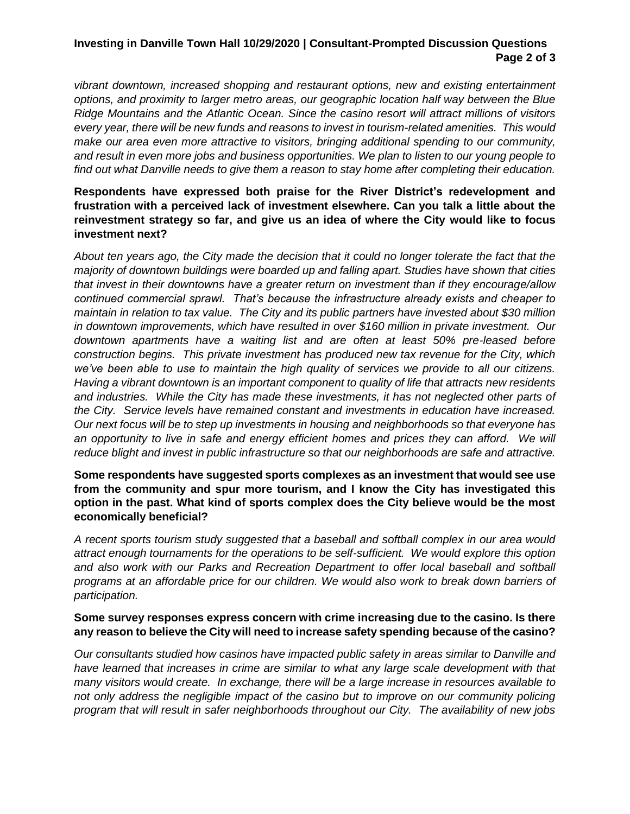# **Investing in Danville Town Hall 10/29/2020 | Consultant-Prompted Discussion Questions Page 2 of 3**

*vibrant downtown, increased shopping and restaurant options, new and existing entertainment options, and proximity to larger metro areas, our geographic location half way between the Blue Ridge Mountains and the Atlantic Ocean. Since the casino resort will attract millions of visitors every year, there will be new funds and reasons to invest in tourism-related amenities. This would make our area even more attractive to visitors, bringing additional spending to our community, and result in even more jobs and business opportunities. We plan to listen to our young people to find out what Danville needs to give them a reason to stay home after completing their education.* 

# **Respondents have expressed both praise for the River District's redevelopment and frustration with a perceived lack of investment elsewhere. Can you talk a little about the reinvestment strategy so far, and give us an idea of where the City would like to focus investment next?**

*About ten years ago, the City made the decision that it could no longer tolerate the fact that the majority of downtown buildings were boarded up and falling apart. Studies have shown that cities that invest in their downtowns have a greater return on investment than if they encourage/allow continued commercial sprawl. That's because the infrastructure already exists and cheaper to maintain in relation to tax value. The City and its public partners have invested about \$30 million in downtown improvements, which have resulted in over \$160 million in private investment. Our downtown apartments have a waiting list and are often at least 50% pre-leased before construction begins. This private investment has produced new tax revenue for the City, which we've been able to use to maintain the high quality of services we provide to all our citizens. Having a vibrant downtown is an important component to quality of life that attracts new residents and industries. While the City has made these investments, it has not neglected other parts of the City. Service levels have remained constant and investments in education have increased. Our next focus will be to step up investments in housing and neighborhoods so that everyone has*  an opportunity to live in safe and energy efficient homes and prices they can afford. We will *reduce blight and invest in public infrastructure so that our neighborhoods are safe and attractive.*

## **Some respondents have suggested sports complexes as an investment that would see use from the community and spur more tourism, and I know the City has investigated this option in the past. What kind of sports complex does the City believe would be the most economically beneficial?**

*A recent sports tourism study suggested that a baseball and softball complex in our area would attract enough tournaments for the operations to be self-sufficient. We would explore this option*  and also work with our Parks and Recreation Department to offer local baseball and softball *programs at an affordable price for our children. We would also work to break down barriers of participation.*

#### **Some survey responses express concern with crime increasing due to the casino. Is there any reason to believe the City will need to increase safety spending because of the casino?**

*Our consultants studied how casinos have impacted public safety in areas similar to Danville and*  have learned that increases in crime are similar to what any large scale development with that *many visitors would create. In exchange, there will be a large increase in resources available to*  not only address the negligible impact of the casino but to improve on our community policing *program that will result in safer neighborhoods throughout our City. The availability of new jobs*